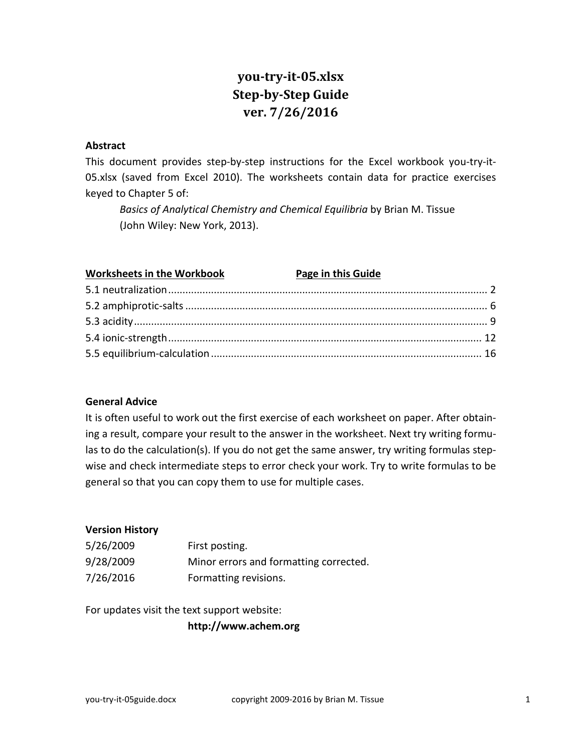# **you-try-it-05.xlsx Step-by-Step Guide ver. 7/26/2016**

#### **Abstract**

This document provides step-by-step instructions for the Excel workbook you-try-it-05.xlsx (saved from Excel 2010). The worksheets contain data for practice exercises keyed to Chapter 5 of:

*Basics of Analytical Chemistry and Chemical Equilibria* by Brian M. Tissue (John Wiley: New York, 2013).

| <b>Worksheets in the Workbook</b> | <b>Page in this Guide</b> |
|-----------------------------------|---------------------------|
|                                   |                           |
|                                   |                           |
|                                   |                           |
|                                   |                           |
|                                   |                           |

#### **General Advice**

It is often useful to work out the first exercise of each worksheet on paper. After obtaining a result, compare your result to the answer in the worksheet. Next try writing formulas to do the calculation(s). If you do not get the same answer, try writing formulas stepwise and check intermediate steps to error check your work. Try to write formulas to be general so that you can copy them to use for multiple cases.

#### **Version History**

| 5/26/2009 | First posting.                         |
|-----------|----------------------------------------|
| 9/28/2009 | Minor errors and formatting corrected. |
| 7/26/2016 | Formatting revisions.                  |

For updates visit the text support website:

**http://www.achem.org**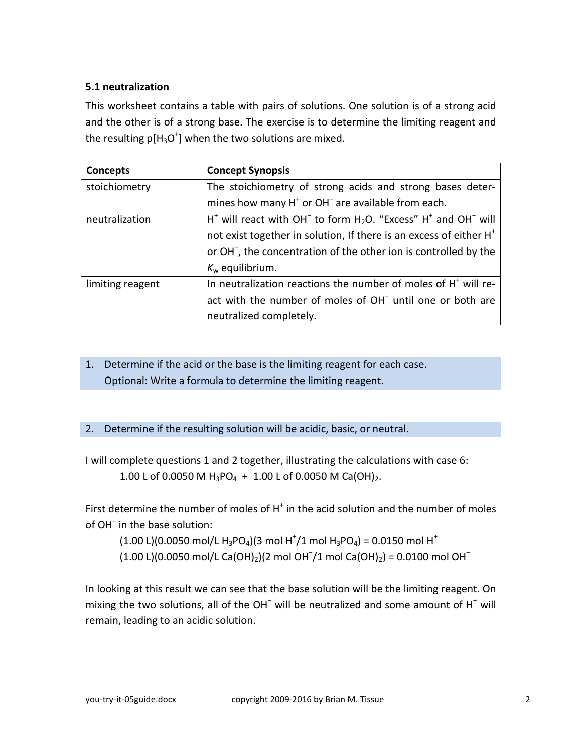### <span id="page-1-0"></span>**5.1 neutralization**

This worksheet contains a table with pairs of solutions. One solution is of a strong acid and the other is of a strong base. The exercise is to determine the limiting reagent and the resulting  $p[H_3O^+]$  when the two solutions are mixed.

| <b>Concepts</b>  | <b>Concept Synopsis</b>                                                        |  |  |  |
|------------------|--------------------------------------------------------------------------------|--|--|--|
| stoichiometry    | The stoichiometry of strong acids and strong bases deter-                      |  |  |  |
|                  | mines how many $H^+$ or OH <sup><math>-</math></sup> are available from each.  |  |  |  |
| neutralization   | $H^*$ will react with OH $^-$ to form $H_2O$ . "Excess" $H^*$ and OH $^-$ will |  |  |  |
|                  | not exist together in solution, If there is an excess of either H <sup>+</sup> |  |  |  |
|                  | or OH <sup>-</sup> , the concentration of the other ion is controlled by the   |  |  |  |
|                  | $K_w$ equilibrium.                                                             |  |  |  |
| limiting reagent | In neutralization reactions the number of moles of H <sup>+</sup> will re-     |  |  |  |
|                  | act with the number of moles of OH <sup>-</sup> until one or both are          |  |  |  |
|                  | neutralized completely.                                                        |  |  |  |

# 1. Determine if the acid or the base is the limiting reagent for each case. Optional: Write a formula to determine the limiting reagent.

### 2. Determine if the resulting solution will be acidic, basic, or neutral.

I will complete questions 1 and 2 together, illustrating the calculations with case 6: 1.00 L of 0.0050 M H<sub>3</sub>PO<sub>4</sub> + 1.00 L of 0.0050 M Ca(OH)<sub>2</sub>.

First determine the number of moles of  $H^+$  in the acid solution and the number of moles of OH<sup>−</sup> in the base solution:

 $(1.00 \text{ L})(0.0050 \text{ mol/L H}_3 \text{PO}_4)(3 \text{ mol H}^{\dagger}/1 \text{ mol H}_3 \text{PO}_4) = 0.0150 \text{ mol H}^{\dagger}$ 

 $(1.00 \text{ L})(0.0050 \text{ mol/L Ca(OH)}_{2})(2 \text{ mol OH}^{-}/1 \text{ mol Ca(OH)}_{2}) = 0.0100 \text{ mol OH}^{-}$ 

In looking at this result we can see that the base solution will be the limiting reagent. On mixing the two solutions, all of the OH $<sup>-</sup>$  will be neutralized and some amount of H $<sup>+</sup>$  will</sup></sup> remain, leading to an acidic solution.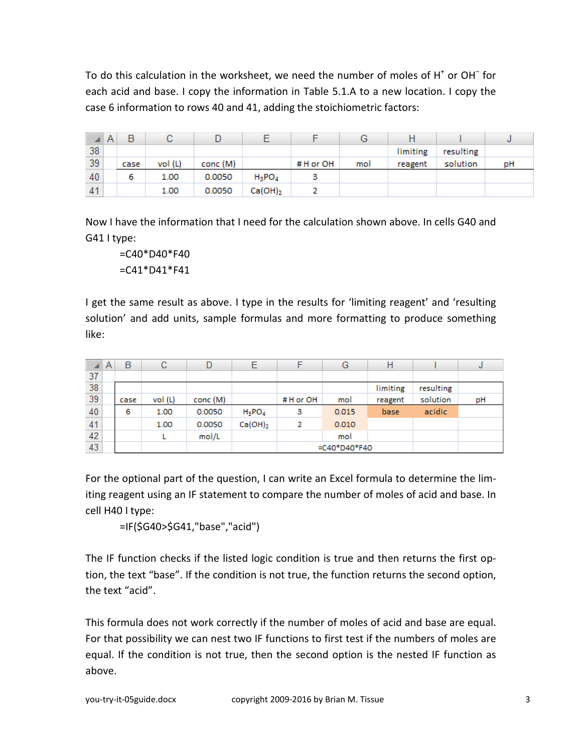To do this calculation in the worksheet, we need the number of moles of H<sup>+</sup> or OH<sup>−</sup> for each acid and base. I copy the information in Table 5.1.A to a new location. I copy the case 6 information to rows 40 and 41, adding the stoichiometric factors:

|    | l A | в    |         |          |            |          | G   | н        |           |    |
|----|-----|------|---------|----------|------------|----------|-----|----------|-----------|----|
| 38 |     |      |         |          |            |          |     | limiting | resulting |    |
| 39 |     | case | vol (L) | conc (M) |            | #H or OH | mol | reagent  | solution  | pH |
| 40 |     | 6    | 1.00    | 0.0050   | $H_3POA$   |          |     |          |           |    |
| 41 |     |      | 1.00    | 0.0050   | $Ca(OH)_2$ |          |     |          |           |    |

Now I have the information that I need for the calculation shown above. In cells G40 and G41 I type:

=C40\*D40\*F40 =C41\*D41\*F41

I get the same result as above. I type in the results for 'limiting reagent' and 'resulting solution' and add units, sample formulas and more formatting to produce something like:

|    | A | B    | с      | D        |            | F        | G               | Н        |           | J  |
|----|---|------|--------|----------|------------|----------|-----------------|----------|-----------|----|
| 37 |   |      |        |          |            |          |                 |          |           |    |
| 38 |   |      |        |          |            |          |                 | limiting | resulting |    |
| 39 |   | case | vol(L) | conc (M) |            | #H or OH | mol             | reagent  | solution  | pH |
| 40 |   | 6    | 1.00   | 0.0050   | $H_3PO_4$  | з        | 0.015           | base     | acidic    |    |
| 41 |   |      | 1.00   | 0.0050   | $Ca(OH)_2$ | 2        | 0.010           |          |           |    |
| 42 |   |      |        | mol/L    |            |          | mol             |          |           |    |
| 43 |   |      |        |          |            |          | $=$ C40*D40*F40 |          |           |    |

For the optional part of the question, I can write an Excel formula to determine the limiting reagent using an IF statement to compare the number of moles of acid and base. In cell H40 I type:

```
=IF($G40>$G41,"base","acid")
```
The IF function checks if the listed logic condition is true and then returns the first option, the text "base". If the condition is not true, the function returns the second option, the text "acid".

This formula does not work correctly if the number of moles of acid and base are equal. For that possibility we can nest two IF functions to first test if the numbers of moles are equal. If the condition is not true, then the second option is the nested IF function as above.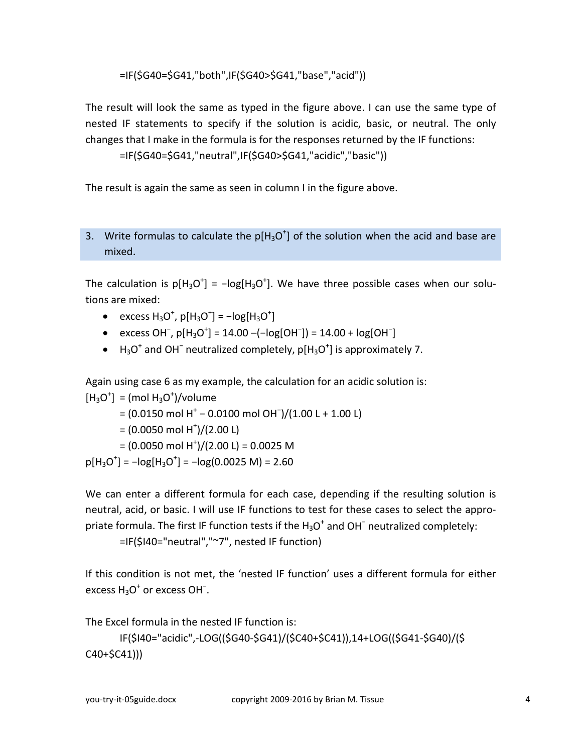=IF(\$G40=\$G41,"both",IF(\$G40>\$G41,"base","acid"))

The result will look the same as typed in the figure above. I can use the same type of nested IF statements to specify if the solution is acidic, basic, or neutral. The only changes that I make in the formula is for the responses returned by the IF functions:

```
=IF($G40=$G41,"neutral",IF($G40>$G41,"acidic","basic"))
```
The result is again the same as seen in column I in the figure above.

## 3. Write formulas to calculate the  $p[H_3O^+]$  of the solution when the acid and base are mixed.

The calculation is  $p[H_3O^+]$  =  $-log[H_3O^+]$ . We have three possible cases when our solutions are mixed:

- excess  $H_3O^+$ ,  $p[H_3O^+] = -log[H_3O^+]$
- excess OH<sup>-</sup>,  $p[H_3O^+] = 14.00 (-log[OH^-]) = 14.00 + log[OH^-]$
- H<sub>3</sub>O<sup>+</sup> and OH<sup>-</sup> neutralized completely,  $p[H_3O^+]$  is approximately 7.

Again using case 6 as my example, the calculation for an acidic solution is:

```
[H_3O^+] = (mol H_3O^+)/volume= (0.0150 mol H<sup>+</sup> − 0.0100 mol OH¯)/(1.00 L + 1.00 L)
         = (0.0050 \text{ mol H}^+)/(2.00 \text{ L})= (0.0050 \text{ mol H}^+) / (2.00 \text{ L}) = 0.0025 \text{ M}p[H_3O^+] = -log[H_3O^+] = -log(0.0025 M) = 2.60
```
We can enter a different formula for each case, depending if the resulting solution is neutral, acid, or basic. I will use IF functions to test for these cases to select the appropriate formula. The first IF function tests if the  $H_3O^+$  and OH<sup>−</sup> neutralized completely:

=IF(\$I40="neutral","~7", nested IF function)

If this condition is not met, the 'nested IF function' uses a different formula for either excess  $H_3O^+$  or excess OH $\bar{ }$ .

The Excel formula in the nested IF function is:

```
IF($I40="acidic",-LOG(($G40-$G41)/($C40+$C41)),14+LOG(($G41-$G40)/($
C40+$C41)))
```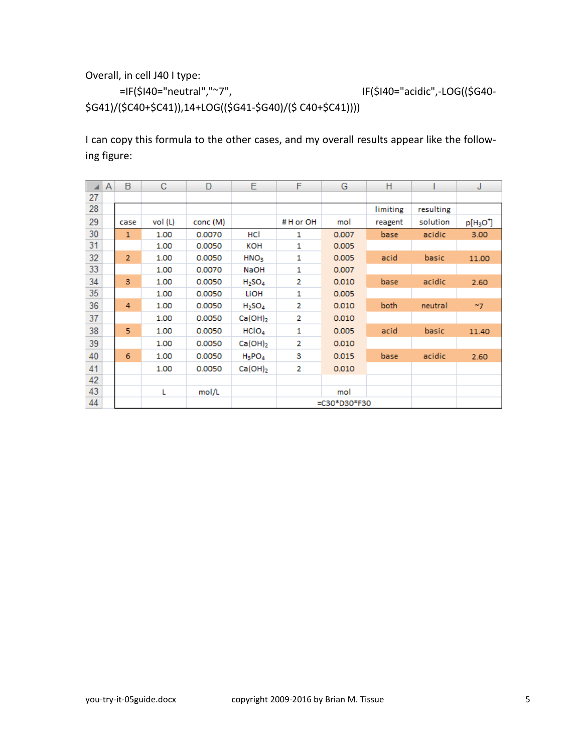Overall, in cell J40 I type:

=IF(\$I40="neutral","~7", IF(\$I40="acidic",-LOG((\$G40- \$G41)/(\$C40+\$C41)),14+LOG((\$G41-\$G40)/(\$ C40+\$C41))))

I can copy this formula to the other cases, and my overall results appear like the following figure:

|    | A | B              | C       | D        | Е                              | F              | G            | н        |           | J         |
|----|---|----------------|---------|----------|--------------------------------|----------------|--------------|----------|-----------|-----------|
| 27 |   |                |         |          |                                |                |              |          |           |           |
| 28 |   |                |         |          |                                |                |              | limiting | resulting |           |
| 29 |   | case           | vol (L) | conc (M) |                                | #H or OH       | mol          | reagent  | solution  | $p[H3O+]$ |
| 30 |   | $\mathbf{1}$   | 1.00    | 0.0070   | HCI                            | 1              | 0.007        | base     | acidic    | 3.00      |
| 31 |   |                | 1.00    | 0.0050   | кон                            | 1              | 0.005        |          |           |           |
| 32 |   | $\overline{2}$ | 1.00    | 0.0050   | HNO <sub>3</sub>               | 1              | 0.005        | acid     | basic     | 11.00     |
| 33 |   |                | 1.00    | 0.0070   | NaOH                           | 1              | 0.007        |          |           |           |
| 34 |   | 3              | 1.00    | 0.0050   | H <sub>2</sub> SO <sub>4</sub> | 2              | 0.010        | base     | acidic    | 2.60      |
| 35 |   |                | 1.00    | 0.0050   | LIOH                           | 1              | 0.005        |          |           |           |
| 36 |   | 4              | 1.00    | 0.0050   | H <sub>2</sub> SO <sub>4</sub> | 2              | 0.010        | both     | neutral   | ~17       |
| 37 |   |                | 1.00    | 0.0050   | $Ca(OH)_2$                     | $\overline{2}$ | 0.010        |          |           |           |
| 38 |   | 5              | 1.00    | 0.0050   | HClO <sub>4</sub>              | 1              | 0.005        | acid     | basic     | 11.40     |
| 39 |   |                | 1.00    | 0.0050   | $Ca(OH)_2$                     | $\overline{2}$ | 0.010        |          |           |           |
| 40 |   | 6              | 1.00    | 0.0050   | $H_3PO_4$                      | 3              | 0.015        | base     | acidic    | 2.60      |
| 41 |   |                | 1.00    | 0.0050   | $Ca(OH)_2$                     | 2              | 0.010        |          |           |           |
| 42 |   |                |         |          |                                |                |              |          |           |           |
| 43 |   |                | L       | mol/L    |                                |                | mol          |          |           |           |
| 44 |   |                |         |          |                                |                | =C30*D30*F30 |          |           |           |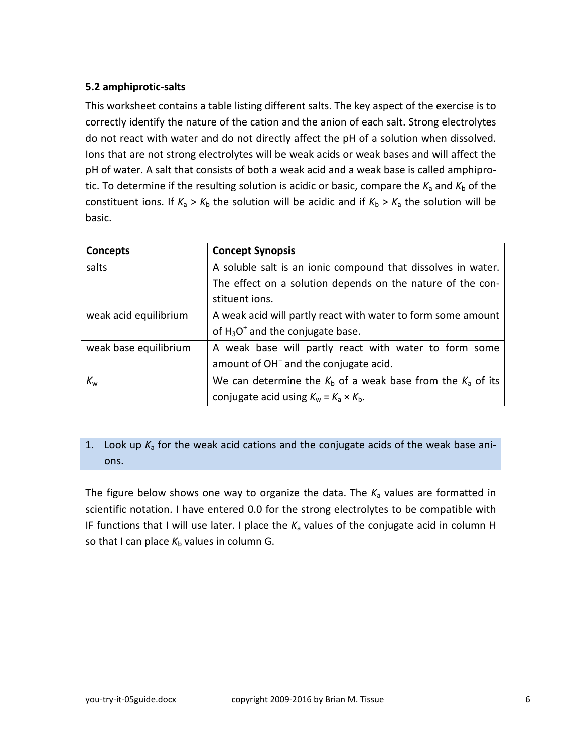### <span id="page-5-0"></span>**5.2 amphiprotic-salts**

This worksheet contains a table listing different salts. The key aspect of the exercise is to correctly identify the nature of the cation and the anion of each salt. Strong electrolytes do not react with water and do not directly affect the pH of a solution when dissolved. Ions that are not strong electrolytes will be weak acids or weak bases and will affect the pH of water. A salt that consists of both a weak acid and a weak base is called amphiprotic. To determine if the resulting solution is acidic or basic, compare the  $K_a$  and  $K_b$  of the constituent ions. If  $K_a > K_b$  the solution will be acidic and if  $K_b > K_a$  the solution will be basic.

| Concepts              | <b>Concept Synopsis</b>                                         |  |  |
|-----------------------|-----------------------------------------------------------------|--|--|
| salts                 | A soluble salt is an ionic compound that dissolves in water.    |  |  |
|                       | The effect on a solution depends on the nature of the con-      |  |  |
|                       | stituent ions.                                                  |  |  |
| weak acid equilibrium | A weak acid will partly react with water to form some amount    |  |  |
|                       | of $H_3O^+$ and the conjugate base.                             |  |  |
| weak base equilibrium | A weak base will partly react with water to form some           |  |  |
|                       | amount of OH <sup>-</sup> and the conjugate acid.               |  |  |
| $K_{\rm w}$           | We can determine the $K_b$ of a weak base from the $K_a$ of its |  |  |
|                       | conjugate acid using $K_w = K_a \times K_b$ .                   |  |  |

### 1. Look up  $K_a$  for the weak acid cations and the conjugate acids of the weak base anions.

The figure below shows one way to organize the data. The  $K_a$  values are formatted in scientific notation. I have entered 0.0 for the strong electrolytes to be compatible with IF functions that I will use later. I place the *K*<sup>a</sup> values of the conjugate acid in column H so that I can place  $K_b$  values in column G.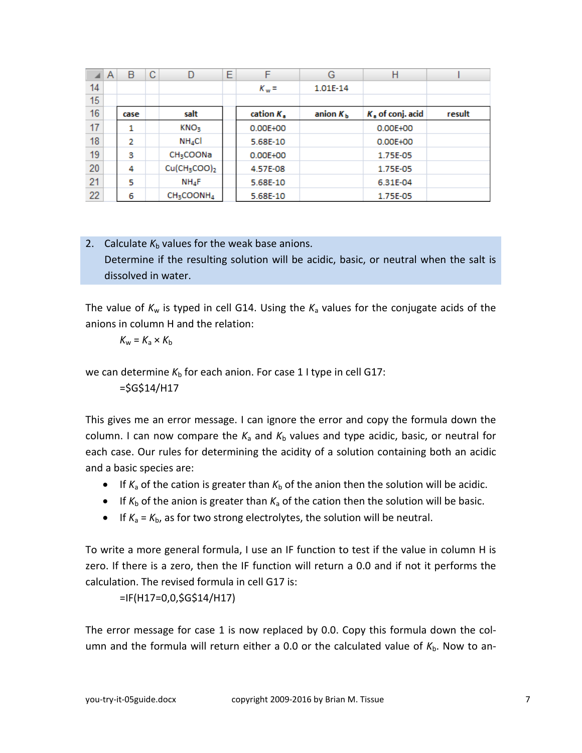|    | Α | В    | C | D                                    | E | F                  | G                 | Н                  |        |
|----|---|------|---|--------------------------------------|---|--------------------|-------------------|--------------------|--------|
| 14 |   |      |   |                                      |   | $K_w =$            | 1.01E-14          |                    |        |
| 15 |   |      |   |                                      |   |                    |                   |                    |        |
| 16 |   | case |   | salt                                 |   | cation $K_{\rm s}$ | anion $K_{\rm h}$ | $Ka$ of conj. acid | result |
| 17 |   | 1    |   | KNO <sub>3</sub>                     |   | 0.00E+00           |                   | 0.00E+00           |        |
| 18 |   | 2    |   | $NH_4Cl$                             |   | 5.68E-10           |                   | 0.00E+00           |        |
| 19 |   | з    |   | <b>CH3COONa</b>                      |   | 0.00E+00           |                   | 1.75E-05           |        |
| 20 |   | 4    |   | Cu(CH <sub>3</sub> COO) <sub>2</sub> |   | 4.57E-08           |                   | 1.75E-05           |        |
| 21 |   | 5    |   | $NH_4F$                              |   | 5.68E-10           |                   | 6.31E-04           |        |
| 22 |   | 6    |   | CH <sub>3</sub> COONH <sub>4</sub>   |   | 5.68E-10           |                   | 1.75E-05           |        |

# 2. Calculate  $K_b$  values for the weak base anions. Determine if the resulting solution will be acidic, basic, or neutral when the salt is dissolved in water.

The value of  $K_w$  is typed in cell G14. Using the  $K_a$  values for the conjugate acids of the anions in column H and the relation:

 $K_w = K_a \times K_b$ 

we can determine  $K<sub>b</sub>$  for each anion. For case 1 I type in cell G17:

 $=$  $SGS14/H17$ 

This gives me an error message. I can ignore the error and copy the formula down the column. I can now compare the  $K_a$  and  $K_b$  values and type acidic, basic, or neutral for each case. Our rules for determining the acidity of a solution containing both an acidic and a basic species are:

- If  $K_a$  of the cation is greater than  $K_b$  of the anion then the solution will be acidic.
- If  $K_b$  of the anion is greater than  $K_a$  of the cation then the solution will be basic.
- If  $K_a = K_b$ , as for two strong electrolytes, the solution will be neutral.

To write a more general formula, I use an IF function to test if the value in column H is zero. If there is a zero, then the IF function will return a 0.0 and if not it performs the calculation. The revised formula in cell G17 is:

=IF(H17=0,0,\$G\$14/H17)

The error message for case 1 is now replaced by 0.0. Copy this formula down the column and the formula will return either a 0.0 or the calculated value of K<sub>b</sub>. Now to an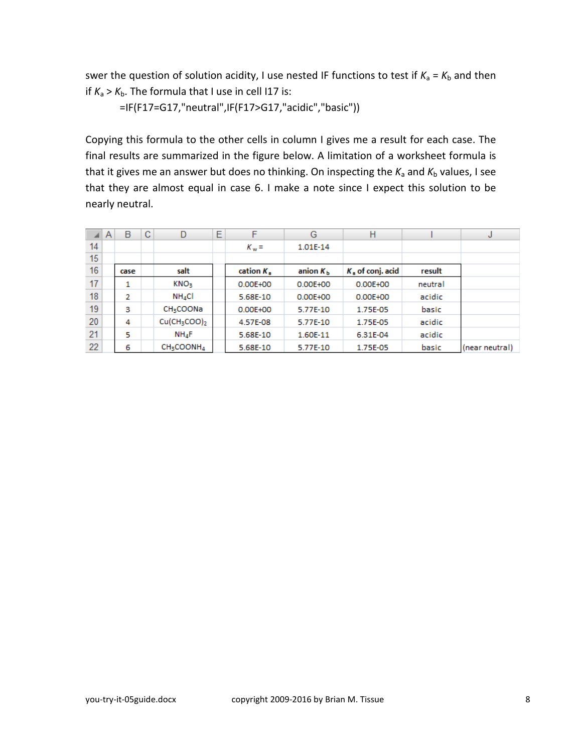swer the question of solution acidity, I use nested IF functions to test if  $K_a = K_b$  and then if  $K_a > K_b$ . The formula that I use in cell I17 is:

=IF(F17=G17,"neutral",IF(F17>G17,"acidic","basic"))

Copying this formula to the other cells in column I gives me a result for each case. The final results are summarized in the figure below. A limitation of a worksheet formula is that it gives me an answer but does no thinking. On inspecting the  $K_a$  and  $K_b$  values, I see that they are almost equal in case 6. I make a note since I expect this solution to be nearly neutral.

|    | A | B    | C | D                                    | Ε | F                   | G             | Н                  |         | J              |
|----|---|------|---|--------------------------------------|---|---------------------|---------------|--------------------|---------|----------------|
| 14 |   |      |   |                                      |   | $K_w =$             | 1.01E-14      |                    |         |                |
| 15 |   |      |   |                                      |   |                     |               |                    |         |                |
| 16 |   | case |   | salt                                 |   | cation $K_{\kappa}$ | anion $K_{h}$ | $Kn$ of conj. acid | result  |                |
| 17 |   | 1    |   | KNO <sub>3</sub>                     |   | 0.00E+00            | 0.00E+00      | 0.00E+00           | neutral |                |
| 18 |   | 2    |   | $NH_4Cl$                             |   | 5.68E-10            | 0.00E+00      | $0.00E + 00$       | acidic  |                |
| 19 |   | 3    |   | <b>CH<sub>3</sub>COONa</b>           |   | $0.00E + 00$        | 5.77E-10      | 1.75E-05           | basic   |                |
| 20 |   | 4    |   | Cu(CH <sub>3</sub> COO) <sub>2</sub> |   | 4.57E-08            | 5.77E-10      | 1.75E-05           | acidic  |                |
| 21 |   | 5    |   | $NH_4F$                              |   | 5.68E-10            | 1.60E-11      | 6.31E-04           | acidic  |                |
| 22 |   | 6    |   | CH <sub>3</sub> COONH <sub>4</sub>   |   | 5.68E-10            | 5.77E-10      | 1.75E-05           | basic   | (near neutral) |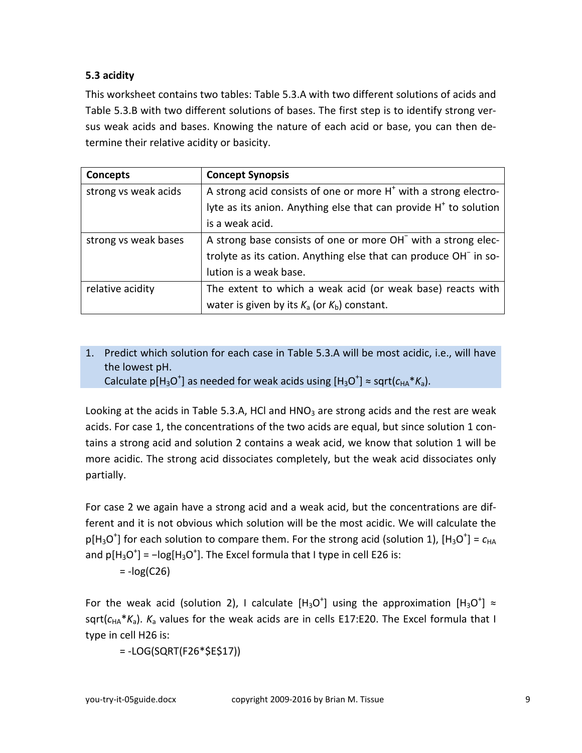### <span id="page-8-0"></span>**5.3 acidity**

This worksheet contains two tables: Table 5.3.A with two different solutions of acids and Table 5.3.B with two different solutions of bases. The first step is to identify strong versus weak acids and bases. Knowing the nature of each acid or base, you can then determine their relative acidity or basicity.

| Concepts             | <b>Concept Synopsis</b>                                                      |
|----------------------|------------------------------------------------------------------------------|
| strong vs weak acids | A strong acid consists of one or more $H^+$ with a strong electro-           |
|                      | lyte as its anion. Anything else that can provide H <sup>+</sup> to solution |
|                      | is a weak acid.                                                              |
| strong vs weak bases | A strong base consists of one or more OH <sup>-</sup> with a strong elec-    |
|                      | trolyte as its cation. Anything else that can produce OH <sup>-</sup> in so- |
|                      | lution is a weak base.                                                       |
| relative acidity     | The extent to which a weak acid (or weak base) reacts with                   |
|                      | water is given by its $K_a$ (or $K_b$ ) constant.                            |

1. Predict which solution for each case in Table 5.3.A will be most acidic, i.e., will have the lowest pH.

Calculate p[H<sub>3</sub>O<sup>+</sup>] as needed for weak acids using [H<sub>3</sub>O<sup>+</sup>]  $\approx$  sqrt( $c_{HA}$ \* $K_a$ ).

Looking at the acids in Table 5.3.A, HCl and  $HNO<sub>3</sub>$  are strong acids and the rest are weak acids. For case 1, the concentrations of the two acids are equal, but since solution 1 contains a strong acid and solution 2 contains a weak acid, we know that solution 1 will be more acidic. The strong acid dissociates completely, but the weak acid dissociates only partially.

For case 2 we again have a strong acid and a weak acid, but the concentrations are different and it is not obvious which solution will be the most acidic. We will calculate the  $p[H_3O^+]$  for each solution to compare them. For the strong acid (solution 1),  $[H_3O^+]$  =  $c_{HA}$ and  $p[H_3O^+]$  = -log[H<sub>3</sub>O<sup>+</sup>]. The Excel formula that I type in cell E26 is:

$$
= -\log(C26)
$$

For the weak acid (solution 2), I calculate  $[H_3O^+]$  using the approximation  $[H_3O^+] \approx$ sqrt( $c_{HA}$ <sup>\*</sup> $K_a$ ).  $K_a$  values for the weak acids are in cells E17:E20. The Excel formula that I type in cell H26 is:

= -LOG(SQRT(F26\*\$E\$17))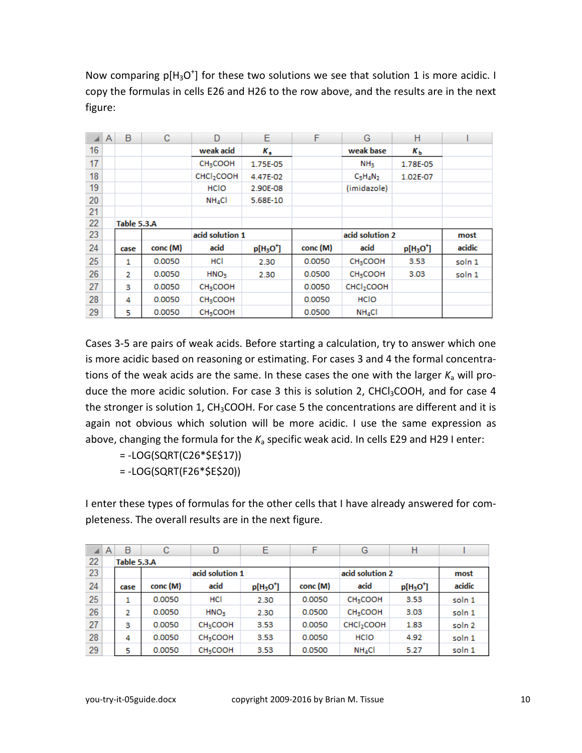Now comparing  $p[H_3O^+]$  for these two solutions we see that solution 1 is more acidic. I copy the formulas in cells E26 and H26 to the row above, and the results are in the next figure:

|    | A | B           | с        | D                       | Е         | F        | G                         | н         |        |
|----|---|-------------|----------|-------------------------|-----------|----------|---------------------------|-----------|--------|
| 16 |   |             |          | weak acid               | к.        |          | weak base                 | Kь        |        |
| 17 |   |             |          | <b>CH3COOH</b>          | 1.75E-05  |          | NH <sub>3</sub>           | 1.78E-05  |        |
| 18 |   |             |          | CHCl <sub>2</sub> COOH  | 4.47E-02  |          | $C_3H_4N_2$               | 1.02E-07  |        |
| 19 |   |             |          | <b>HCIO</b>             | 2.90E-08  |          | (imidazole)               |           |        |
| 20 |   |             |          | <b>NH<sub>4</sub>CI</b> | 5.68E-10  |          |                           |           |        |
| 21 |   |             |          |                         |           |          |                           |           |        |
| 22 |   | Table 5.3.A |          |                         |           |          |                           |           |        |
| 23 |   |             |          | acid solution 1         |           |          | acid solution 2           |           |        |
| 24 |   | case        | conc (M) | acid                    | $p[H3O+]$ | conc (M) | acid                      | $p[H3O+]$ | acidic |
| 25 |   | 1           | 0.0050   | HCI                     | 2.30      | 0.0050   | CH <sub>3</sub> COOH      | 3.53      | soln 1 |
| 26 |   | 2           | 0.0050   | HNO <sub>3</sub>        | 2.30      | 0.0500   | <b>CH<sub>3</sub>COOH</b> | 3.03      | soln 1 |
| 27 |   | з           | 0.0050   | <b>CH3COOH</b>          |           | 0.0050   | CHCl <sub>2</sub> COOH    |           |        |
| 28 |   | 4           | 0.0050   | <b>CH3COOH</b>          |           | 0.0050   | <b>HCIO</b>               |           |        |
| 29 |   | 5           | 0.0050   | <b>CH3COOH</b>          |           | 0.0500   | $NH_4Cl$                  |           |        |

Cases 3-5 are pairs of weak acids. Before starting a calculation, try to answer which one is more acidic based on reasoning or estimating. For cases 3 and 4 the formal concentrations of the weak acids are the same. In these cases the one with the larger  $K_a$  will produce the more acidic solution. For case 3 this is solution 2, CHCl<sub>3</sub>COOH, and for case 4 the stronger is solution 1,  $CH<sub>3</sub>COOH$ . For case 5 the concentrations are different and it is again not obvious which solution will be more acidic. I use the same expression as above, changing the formula for the  $K_a$  specific weak acid. In cells E29 and H29 I enter:

= -LOG(SQRT(C26\*\$E\$17))

= -LOG(SQRT(F26\*\$E\$20))

I enter these types of formulas for the other cells that I have already answered for completeness. The overall results are in the next figure.

|    | Α | B           | С        | D                         | Е         | F        | G                         | Н         |                   |
|----|---|-------------|----------|---------------------------|-----------|----------|---------------------------|-----------|-------------------|
| 22 |   | Table 5.3.A |          |                           |           |          |                           |           |                   |
| 23 |   |             |          | acid solution 1           |           |          | acid solution 2           |           | most              |
| 24 |   | case        | conc (M) | acid                      | $p[H3O+]$ | conc (M) | acid                      | $p[H3O+]$ | acidic            |
| 25 |   |             | 0.0050   | HCI                       | 2.30      | 0.0050   | <b>CH<sub>3</sub>COOH</b> | 3.53      | soln 1            |
| 26 |   | 2           | 0.0050   | HNO <sub>3</sub>          | 2.30      | 0.0500   | <b>CH3COOH</b>            | 3.03      | soln 1            |
| 27 |   | з           | 0.0050   | <b>CH<sub>3</sub>COOH</b> | 3.53      | 0.0050   | CHCl <sub>2</sub> COOH    | 1.83      | soln <sub>2</sub> |
| 28 |   | 4           | 0.0050   | <b>CH3COOH</b>            | 3.53      | 0.0050   | <b>HCIO</b>               | 4.92      | soln 1            |
| 29 |   | 5           | 0.0050   | <b>CH<sub>3</sub>COOH</b> | 3.53      | 0.0500   | $NH_4Cl$                  | 5.27      | soln 1            |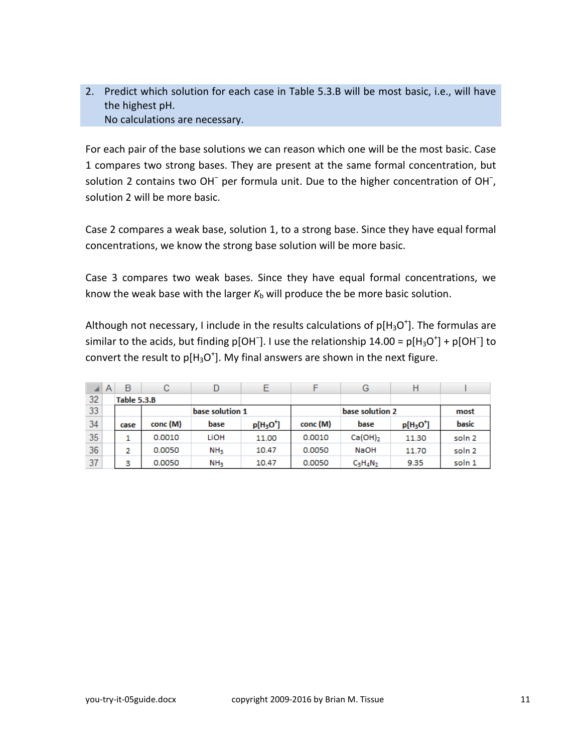2. Predict which solution for each case in Table 5.3.B will be most basic, i.e., will have the highest pH. No calculations are necessary.

For each pair of the base solutions we can reason which one will be the most basic. Case 1 compares two strong bases. They are present at the same formal concentration, but solution 2 contains two OH<sup>-</sup> per formula unit. Due to the higher concentration of OH<sup>-</sup>, solution 2 will be more basic.

Case 2 compares a weak base, solution 1, to a strong base. Since they have equal formal concentrations, we know the strong base solution will be more basic.

Case 3 compares two weak bases. Since they have equal formal concentrations, we know the weak base with the larger  $K_b$  will produce the be more basic solution.

Although not necessary, I include in the results calculations of  $p[H_3O^+]$ . The formulas are similar to the acids, but finding p[OH<sup>-</sup>]. I use the relationship 14.00 = p[H<sub>3</sub>O<sup>+</sup>] + p[OH<sup>-</sup>] to convert the result to  $p[H_3O^+]$ . My final answers are shown in the next figure.

| ◢  | A | B           | С        | D               | Е               |          | G            |           |                   |
|----|---|-------------|----------|-----------------|-----------------|----------|--------------|-----------|-------------------|
| 32 |   | Table 5.3.B |          |                 |                 |          |              |           |                   |
| 33 |   |             |          | base solution 1 | base solution 2 |          |              |           | most              |
| 34 |   | case        | conc (M) | base            | $p[H3O+]$       | conc (M) | base         | $p[H3O+]$ | basic             |
| 35 |   |             | 0.0010   | LIOH            | 11.00           | 0.0010   | $Ca(OH)_{2}$ | 11.30     | soln <sub>2</sub> |
| 36 |   | 2           | 0.0050   | NH <sub>3</sub> | 10.47           | 0.0050   | <b>NaOH</b>  | 11.70     | soln <sub>2</sub> |
| 37 |   | 3           | 0.0050   | NH <sub>3</sub> | 10.47           | 0.0050   | $C_3H_4N_2$  | 9.35      | soln 1            |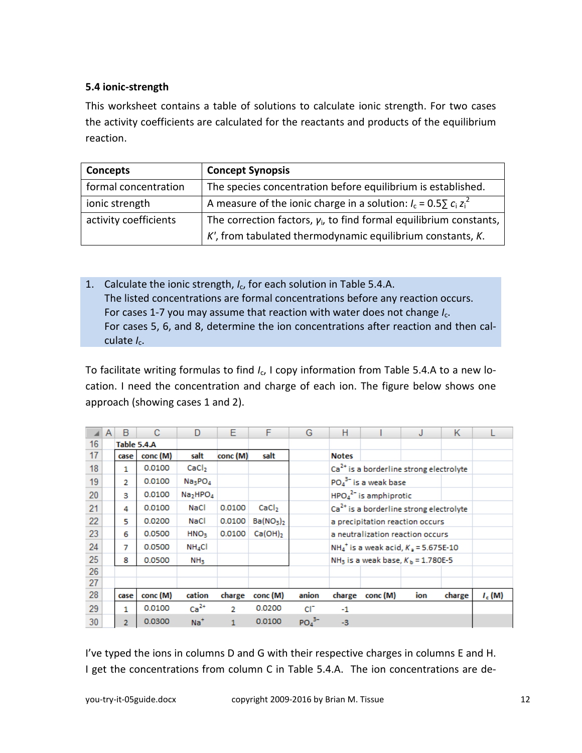### <span id="page-11-0"></span>**5.4 ionic-strength**

This worksheet contains a table of solutions to calculate ionic strength. For two cases the activity coefficients are calculated for the reactants and products of the equilibrium reaction.

| Concepts              | <b>Concept Synopsis</b>                                               |
|-----------------------|-----------------------------------------------------------------------|
| formal concentration  | The species concentration before equilibrium is established.          |
| ionic strength        | A measure of the ionic charge in a solution: $I_c = 0.55 c_i z_i^2$   |
| activity coefficients | The correction factors, $y_i$ , to find formal equilibrium constants, |
|                       | $K'$ , from tabulated thermodynamic equilibrium constants, $K$ .      |

1. Calculate the ionic strength, *I*c, for each solution in Table 5.4.A. The listed concentrations are formal concentrations before any reaction occurs. For cases 1-7 you may assume that reaction with water does not change *I<sub>c</sub>*. For cases 5, 6, and 8, determine the ion concentrations after reaction and then calculate  $I_c$ .

To facilitate writing formulas to find *I<sub>c</sub>*, I copy information from Table 5.4.A to a new location. I need the concentration and charge of each ion. The figure below shows one approach (showing cases 1 and 2).

|    | A | B              | С           | D                                | Е        | F                                 | G                            | н                       |                                                     | J                                                | Κ      |          |
|----|---|----------------|-------------|----------------------------------|----------|-----------------------------------|------------------------------|-------------------------|-----------------------------------------------------|--------------------------------------------------|--------|----------|
| 16 |   |                | Table 5.4.A |                                  |          |                                   |                              |                         |                                                     |                                                  |        |          |
| 17 |   | case           | conc (M)    | salt                             | conc (M) | salt                              |                              | <b>Notes</b>            |                                                     |                                                  |        |          |
| 18 |   | 1              | 0.0100      | CaCl <sub>2</sub>                |          |                                   |                              |                         | Ca <sup>2+</sup> is a borderline strong electrolyte |                                                  |        |          |
| 19 |   | 2              | 0.0100      | Na <sub>3</sub> PO <sub>4</sub>  |          |                                   |                              |                         | $PO_4^{3-}$ is a weak base                          |                                                  |        |          |
| 20 |   | 3              | 0.0100      | Na <sub>2</sub> HPO <sub>4</sub> |          |                                   |                              | $HPO42-$ is amphiprotic |                                                     |                                                  |        |          |
| 21 |   | 4              | 0.0100      | NaCl                             | 0.0100   | CaCl <sub>2</sub>                 |                              |                         |                                                     | $Ca2+$ is a borderline strong electrolyte        |        |          |
| 22 |   | 5              | 0.0200      | NaCl                             | 0.0100   | Ba(NO <sub>3</sub> ) <sub>2</sub> |                              |                         |                                                     | a precipitation reaction occurs                  |        |          |
| 23 |   | 6              | 0.0500      | HNO <sub>3</sub>                 | 0.0100   | $Ca(OH)_2$                        |                              |                         |                                                     | a neutralization reaction occurs                 |        |          |
| 24 |   | 7              | 0.0500      | NH <sub>4</sub> Cl               |          |                                   |                              |                         |                                                     | $NH_4^+$ is a weak acid, $K_2 = 5.675E-10$       |        |          |
| 25 |   | 8              | 0.0500      | NH <sub>3</sub>                  |          |                                   |                              |                         |                                                     | NH <sub>3</sub> is a weak base, $K_b$ = 1.780E-5 |        |          |
| 26 |   |                |             |                                  |          |                                   |                              |                         |                                                     |                                                  |        |          |
| 27 |   |                |             |                                  |          |                                   |                              |                         |                                                     |                                                  |        |          |
| 28 |   | case           | conc (M)    | cation                           | charge   | conc (M)                          | anion                        | charge                  | conc (M)                                            | ion                                              | charge | $I_c(M)$ |
| 29 |   | 1              | 0.0100      | $Ca2+$                           | 2        | 0.0200                            | сr                           | $-1$                    |                                                     |                                                  |        |          |
| 30 |   | $\overline{2}$ | 0.0300      | $Na+$                            |          | 0.0100                            | PO <sub>4</sub> <sup>3</sup> | -3                      |                                                     |                                                  |        |          |

I've typed the ions in columns D and G with their respective charges in columns E and H. I get the concentrations from column C in Table 5.4.A. The ion concentrations are de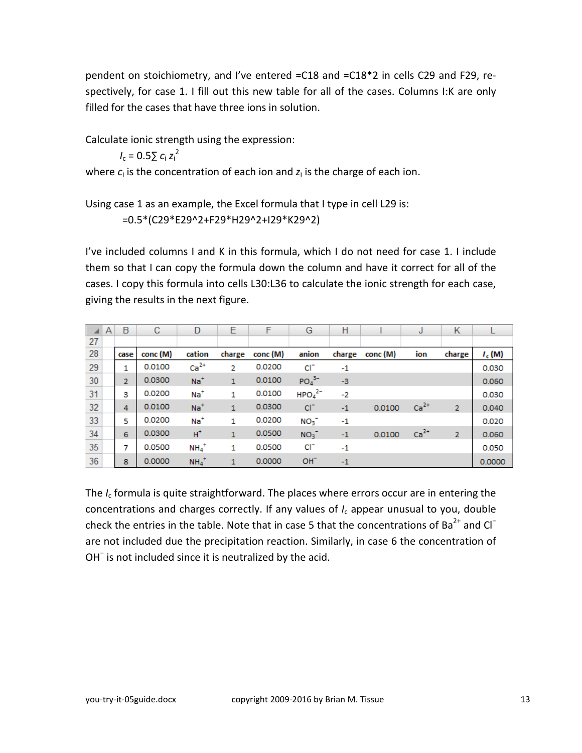pendent on stoichiometry, and I've entered =C18 and =C18\*2 in cells C29 and F29, respectively, for case 1. I fill out this new table for all of the cases. Columns I:K are only filled for the cases that have three ions in solution.

Calculate ionic strength using the expression:

 $I_c = 0.5 \sum_{i} c_i z_i^2$ 

where  $c_i$  is the concentration of each ion and  $z_i$  is the charge of each ion.

Using case 1 as an example, the Excel formula that I type in cell L29 is:

=0.5\*(C29\*E29^2+F29\*H29^2+I29\*K29^2)

I've included columns I and K in this formula, which I do not need for case 1. I include them so that I can copy the formula down the column and have it correct for all of the cases. I copy this formula into cells L30:L36 to calculate the ionic strength for each case, giving the results in the next figure.

|    | A | B              | C        | D                   | Ε            | F        | G               | н      |          | J      | К              |          |
|----|---|----------------|----------|---------------------|--------------|----------|-----------------|--------|----------|--------|----------------|----------|
| 27 |   |                |          |                     |              |          |                 |        |          |        |                |          |
| 28 |   | case           | conc (M) | cation              | charge       | conc (M) | anion           | charge | conc (M) | ion    | charge         | $I_c(M)$ |
| 29 |   |                | 0.0100   | $Ca2+$              | 2            | 0.0200   | $CI^{-}$        | $-1$   |          |        |                | 0.030    |
| 30 |   | $\overline{2}$ | 0.0300   | $Na+$               | 1            | 0.0100   | $PO43-$         | $-3$   |          |        |                | 0.060    |
| 31 |   | 3              | 0.0200   | $Na+$               |              | 0.0100   | $HPO42-$        | $-2$   |          |        |                | 0.030    |
| 32 |   | 4              | 0.0100   | $Na+$               | 1            | 0.0300   | $CI-$           | $-1$   | 0.0100   | $Ca2+$ | $\overline{2}$ | 0.040    |
| 33 |   | 5              | 0.0200   | $Na+$               |              | 0.0200   | NO <sub>3</sub> | $-1$   |          |        |                | 0.020    |
| 34 |   | 6              | 0.0300   | $H^+$               | $\mathbf{1}$ | 0.0500   | NO <sub>3</sub> | $-1$   | 0.0100   | $Ca2+$ | $\overline{2}$ | 0.060    |
| 35 |   | 7              | 0.0500   | $NH_4$ <sup>+</sup> | 1            | 0.0500   | $CI^{-}$        | $-1$   |          |        |                | 0.050    |
| 36 |   | 8              | 0.0000   | $NH_4$ <sup>+</sup> |              | 0.0000   | OH <sup>-</sup> | $-1$   |          |        |                | 0.0000   |

The *I*<sup>c</sup> formula is quite straightforward. The places where errors occur are in entering the concentrations and charges correctly. If any values of *I*<sup>c</sup> appear unusual to you, double check the entries in the table. Note that in case 5 that the concentrations of Ba<sup>2+</sup> and Cl<sup>−</sup> are not included due the precipitation reaction. Similarly, in case 6 the concentration of OH<sup>−</sup> is not included since it is neutralized by the acid.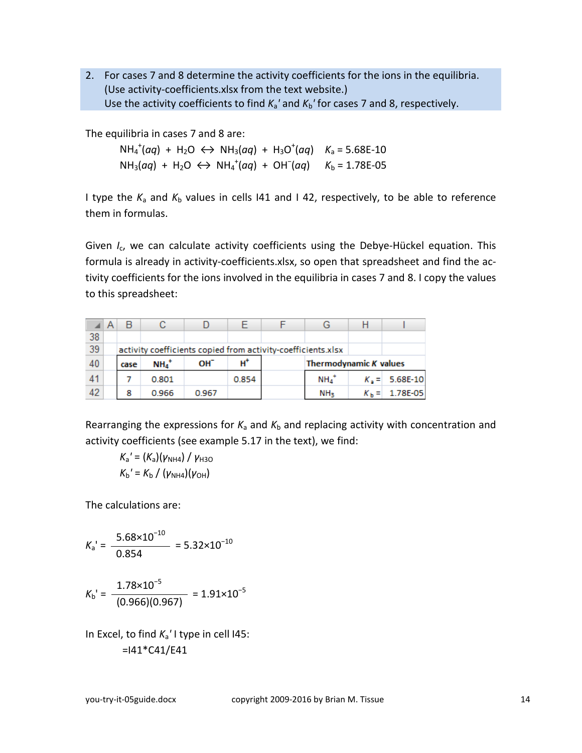2. For cases 7 and 8 determine the activity coefficients for the ions in the equilibria. (Use activity-coefficients.xlsx from the text website.) Use the activity coefficients to find  $K_a'$  and  $K_b'$  for cases 7 and 8, respectively.

The equilibria in cases 7 and 8 are:

 $NH_4^+(aq) + H_2O \leftrightarrow NH_3(aq) + H_3O^+(aq)$   $K_a = 5.68E-10$ NH<sub>3</sub>(aq) + H<sub>2</sub>O  $\leftrightarrow$  NH<sub>4</sub><sup>+</sup>(aq) + OH<sup>-</sup>(aq) K<sub>b</sub> = 1.78E-05

I type the  $K_a$  and  $K_b$  values in cells 141 and 142, respectively, to be able to reference them in formulas.

Given *I<sub>c</sub>*, we can calculate activity coefficients using the Debye-Hückel equation. This formula is already in activity-coefficients.xlsx, so open that spreadsheet and find the activity coefficients for the ions involved in the equilibria in cases 7 and 8. I copy the values to this spreadsheet:

|    | в                                                            |          |                 |               |  |                    |                        |                  |  |  |  |
|----|--------------------------------------------------------------|----------|-----------------|---------------|--|--------------------|------------------------|------------------|--|--|--|
| 38 |                                                              |          |                 |               |  |                    |                        |                  |  |  |  |
| 39 | activity coefficients copied from activity-coefficients.xlsx |          |                 |               |  |                    |                        |                  |  |  |  |
| 40 | case                                                         | $NH_4^+$ | OH <sup>-</sup> | $H^{\dagger}$ |  |                    | Thermodynamic K values |                  |  |  |  |
| 41 |                                                              | 0.801    |                 | 0.854         |  | $NH4$ <sup>+</sup> |                        | $K_2 = 5.68E-10$ |  |  |  |
| 42 | 8                                                            | 0.966    | 0.967           |               |  | NH <sub>3</sub>    |                        | 1.78E-05         |  |  |  |

Rearranging the expressions for  $K_a$  and  $K_b$  and replacing activity with concentration and activity coefficients (see example 5.17 in the text), we find:

 $K_a' = (K_a)(\gamma_{NHA}) / \gamma_{H3O}$  $K_{\rm b}$ <sup>'</sup> =  $K_{\rm b}$  / ( $\nu_{\rm NH4}$ )( $\nu_{\rm OH}$ )

The calculations are:

$$
K_{\rm a}^{\rm -1} = \frac{5.68 \times 10^{-10}}{0.854} = 5.32 \times 10^{-10}
$$

 $K_{\rm b}$ <sup>'</sup> =  $1.78\times10^{-5}$  $= 1.91 \times 10^{-5}$ (0.966)(0.967)

In Excel, to find *K*a*'* I type in cell I45:  $=141*C41/E41$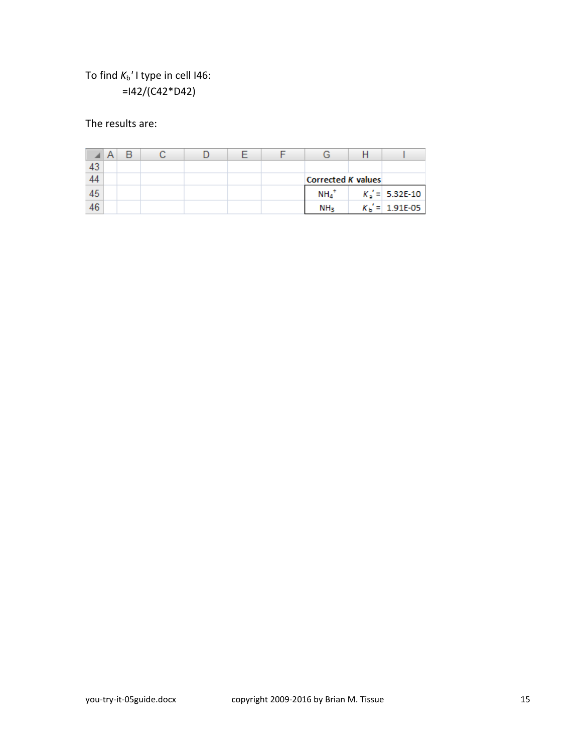# To find  $K_b'$  I type in cell I46: =I42/(C42\*D42)

The results are:

| 44 |  |  |  | Corrected K values |  |                   |
|----|--|--|--|--------------------|--|-------------------|
| 45 |  |  |  | $NHA$ <sup>*</sup> |  | $K_2 = 5.32E-10$  |
| 46 |  |  |  | NH <sub>3</sub>    |  | $K_b' = 1.91E-05$ |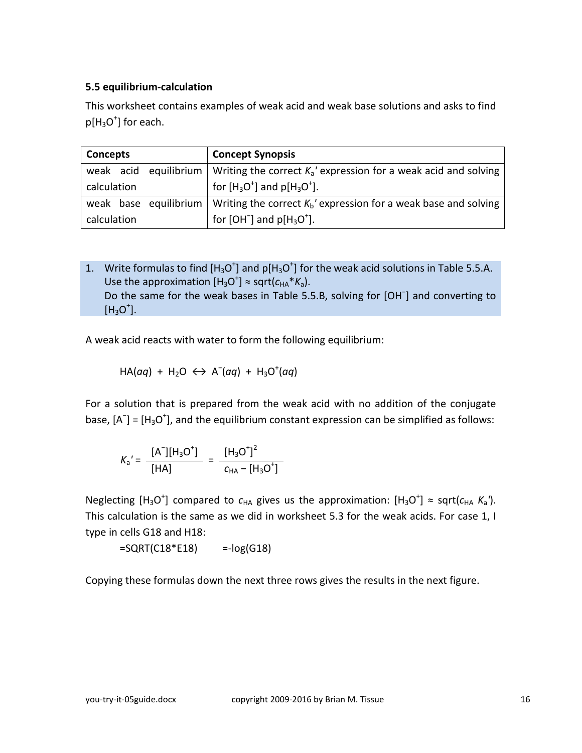#### <span id="page-15-0"></span>**5.5 equilibrium-calculation**

This worksheet contains examples of weak acid and weak base solutions and asks to find  $p[H_3O^+]$  for each.

| Concepts              | <b>Concept Synopsis</b>                                                                    |  |  |  |  |
|-----------------------|--------------------------------------------------------------------------------------------|--|--|--|--|
|                       | weak acid equilibrium   Writing the correct $K_a$ ' expression for a weak acid and solving |  |  |  |  |
| calculation           | for $[H_3O^+]$ and $p[H_3O^+]$ .                                                           |  |  |  |  |
| weak base equilibrium | Writing the correct $K_b'$ expression for a weak base and solving                          |  |  |  |  |
| calculation           | for $[OH^-]$ and $p[H_3O^+]$ .                                                             |  |  |  |  |

1. Write formulas to find  $[H_3O^+]$  and  $p[H_3O^+]$  for the weak acid solutions in Table 5.5.A. Use the approximation  $[H_3O^+] \approx \text{sqrt}(c_{HA} * K_a)$ . Do the same for the weak bases in Table 5.5.B, solving for [OH<sup>-</sup>] and converting to  $[H_3O^+]$ .

A weak acid reacts with water to form the following equilibrium:

$$
HA(aq) + H_2O \leftrightarrow A^-(aq) + H_3O^+(aq)
$$

For a solution that is prepared from the weak acid with no addition of the conjugate base,  $[A^-]$  =  $[H_3O^+]$ , and the equilibrium constant expression can be simplified as follows:

$$
K_{a}' = \frac{[A-][H3O+]}{[HA]} = \frac{[H3O+]2}{cHA - [H3O+]}
$$

Neglecting  $[H_3O^+]$  compared to  $c_{HA}$  gives us the approximation:  $[H_3O^+] \approx$  sqrt( $c_{HA}$   $K_a$ '). This calculation is the same as we did in worksheet 5.3 for the weak acids. For case 1, I type in cells G18 and H18:

 $=$  SQRT(C18\*E18)  $=$ -log(G18)

Copying these formulas down the next three rows gives the results in the next figure.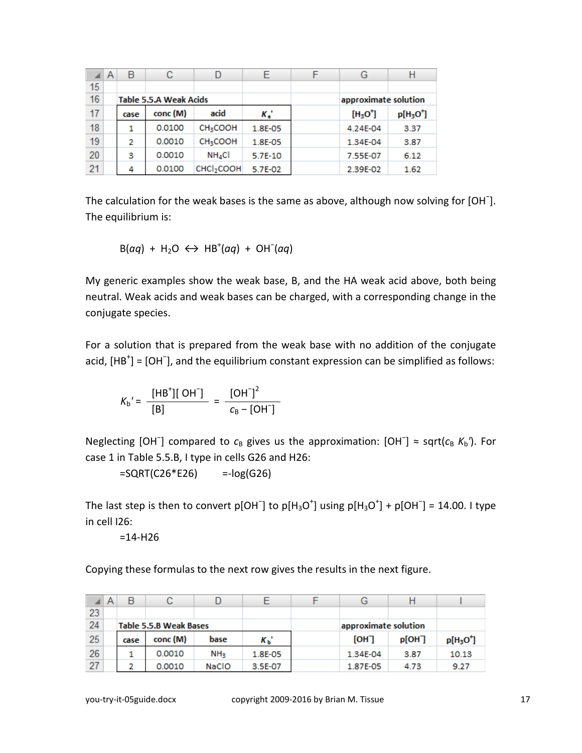|    | Α | B    | С                             |                           |                          | G                    |           |  |
|----|---|------|-------------------------------|---------------------------|--------------------------|----------------------|-----------|--|
| 15 |   |      |                               |                           |                          |                      |           |  |
| 16 |   |      | <b>Table 5.5.A Weak Acids</b> |                           |                          | approximate solution |           |  |
| 17 |   | case | conc (M)                      | acid                      | $K_{\rm e}$ <sup>*</sup> | $[H3O+]$             | $p[H3O+]$ |  |
| 18 |   |      | 0.0100                        | <b>CH<sub>3</sub>COOH</b> | 1.8E-05                  | 4.24E-04             | 3.37      |  |
| 19 |   | 2    | 0.0010                        | <b>CH<sub>3</sub>COOH</b> | 1.8E-05                  | 1.34E-04             | 3.87      |  |
| 20 |   | 3    | 0.0010                        | $NH_4Cl$                  | $5.7E-10$                | 7.55E-07             | 6.12      |  |
| 21 |   | 4    | 0.0100                        | CHCl <sub>2</sub> COOH    | 5.7E-02                  | 2.39E-02             | 1.62      |  |

The calculation for the weak bases is the same as above, although now solving for [OH<sup>-</sup>]. The equilibrium is:

$$
B(aq) + H_2O \leftrightarrow HB^+(aq) + OH^-(aq)
$$

My generic examples show the weak base, B, and the HA weak acid above, both being neutral. Weak acids and weak bases can be charged, with a corresponding change in the conjugate species.

For a solution that is prepared from the weak base with no addition of the conjugate acid, [HB<sup>+</sup>] = [OH<sup>-</sup>], and the equilibrium constant expression can be simplified as follows:

$$
K_{b}' = \frac{\text{[HB'}][OH^-]}{\text{[B]}} = \frac{\text{[OH'}]}{C_{B} - \text{[OH'}]}
$$

Neglecting [OH<sup>-</sup>] compared to  $c_B$  gives us the approximation: [OH<sup>-</sup>] ≈ sqrt( $c_B$  K<sub>b</sub>'). For case 1 in Table 5.5.B, I type in cells G26 and H26:

 $=$ SQRT(C26<sup>\*</sup>E26)  $=$ -log(G26)

The last step is then to convert p[OH<sup>-</sup>] to p[H<sub>3</sub>O<sup>+</sup>] using p[H<sub>3</sub>O<sup>+</sup>] + p[OH<sup>-</sup>] = 14.00. I type in cell I26:

 $=14-H26$ 

Copying these formulas to the next row gives the results in the next figure.

|    | $\mathsf{A}$ | B                      |          |                 |             | G                    |                     |           |
|----|--------------|------------------------|----------|-----------------|-------------|----------------------|---------------------|-----------|
| 23 |              |                        |          |                 |             |                      |                     |           |
| 24 |              | Table 5.5.B Weak Bases |          |                 |             | approximate solution |                     |           |
| 25 |              | case                   | conc (M) | base            | $K_{\rm b}$ | [OH]                 | p[OH <sup>-</sup> ] | $p[H3O+]$ |
| 26 |              |                        | 0.0010   | NH <sub>3</sub> | 1.8E-05     | 1.34E-04             | 3.87                | 10.13     |
| 27 |              |                        | 0.0010   | <b>NaCIO</b>    | 3.5E-07     | 1.87E-05             | 4.73                | 9.27      |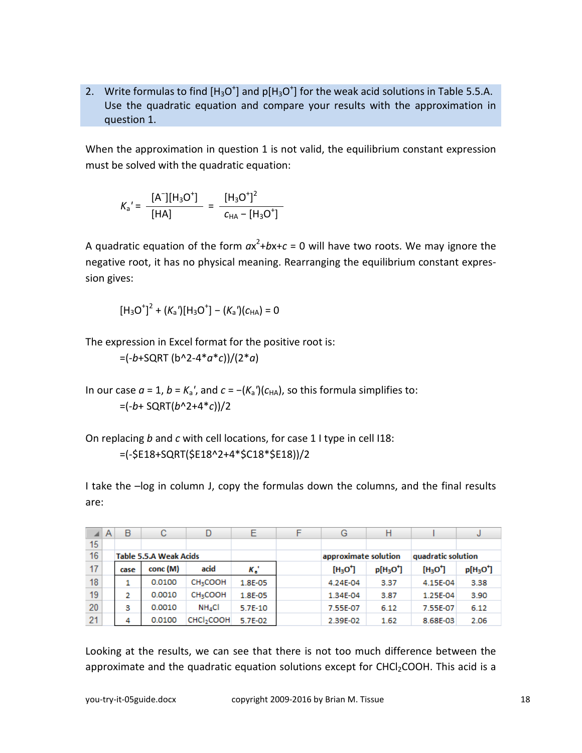2. Write formulas to find  $[H_3O^+]$  and p[H<sub>3</sub>O<sup>+</sup>] for the weak acid solutions in Table 5.5.A. Use the quadratic equation and compare your results with the approximation in question 1.

When the approximation in question 1 is not valid, the equilibrium constant expression must be solved with the quadratic equation:

$$
K_{a}' = \frac{[A-][H3O+]}{[HA]} = \frac{[H3O+]2}{cHA - [H3O+]}
$$

A quadratic equation of the form  $ax^2+bx+c=0$  will have two roots. We may ignore the negative root, it has no physical meaning. Rearranging the equilibrium constant expression gives:

$$
[H_3O^+]^2 + (K_a')[H_3O^+] - (K_a')(c_{HA}) = 0
$$

The expression in Excel format for the positive root is:

=(-*b*+SQRT (b^2-4\**a*\**c*))/(2\**a*)

In our case  $a = 1$ ,  $b = K_a'$ , and  $c = -(K_a')(c_{HA})$ , so this formula simplifies to: =(-*b*+ SQRT(*b*^2+4\**c*))/2

On replacing *b* and *c* with cell locations, for case 1 I type in cell I18: =(-\$E18+SQRT(\$E18^2+4\*\$C18\*\$E18))/2

I take the –log in column J, copy the formulas down the columns, and the final results are:

|    | A | B                             | с        | D                         |           | F | G                    | Н         |                    | J         |  |
|----|---|-------------------------------|----------|---------------------------|-----------|---|----------------------|-----------|--------------------|-----------|--|
| 15 |   |                               |          |                           |           |   |                      |           |                    |           |  |
| 16 |   | <b>Table 5.5.A Weak Acids</b> |          |                           |           |   | approximate solution |           | quadratic solution |           |  |
| 17 |   | case                          | conc (M) | acid                      | к.        |   | $[H3O+]$             | $p[H3O+]$ | $[H3O+]$           | $p[H3O+]$ |  |
| 18 |   |                               | 0.0100   | <b>CH<sub>3</sub>COOH</b> | 1.8E-05   |   | 4.24E-04             | 3.37      | 4.15E-04           | 3.38      |  |
| 19 |   | 2                             | 0.0010   | <b>CH<sub>3</sub>COOH</b> | 1.8E-05   |   | 1.34E-04             | 3.87      | 1.25E-04           | 3.90      |  |
| 20 |   | з                             | 0.0010   | $NH_4Cl$                  | $5.7E-10$ |   | 7.55E-07             | 6.12      | 7.55E-07           | 6.12      |  |
| 21 |   | 4                             | 0.0100   | CHCI <sub>2</sub> COOH    | 5.7E-02   |   | 2.39E-02             | 1.62      | 8.68E-03           | 2.06      |  |

Looking at the results, we can see that there is not too much difference between the approximate and the quadratic equation solutions except for  $CHCl<sub>2</sub>COOH$ . This acid is a